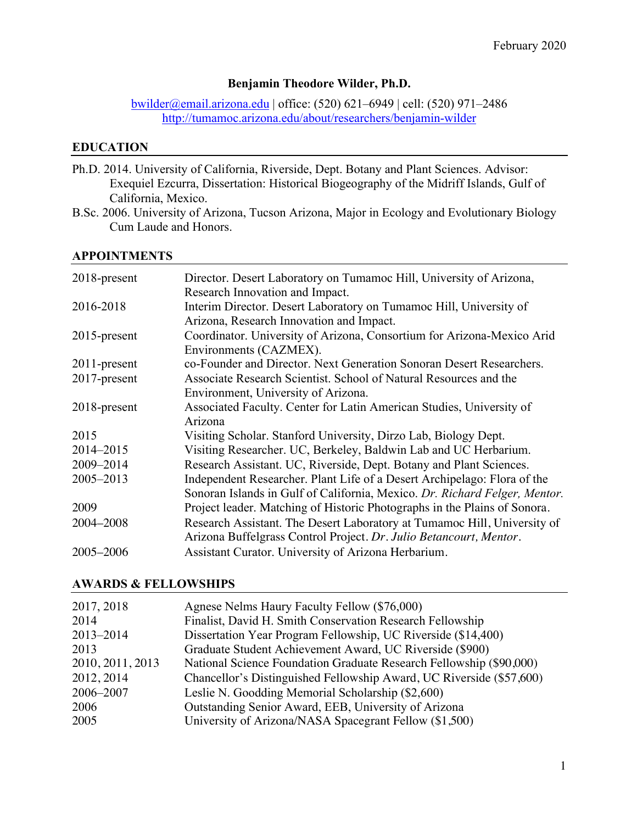# **Benjamin Theodore Wilder, Ph.D.**

bwilder@email.arizona.edu | office: (520) 621–6949 | cell: (520) 971–2486 http://tumamoc.arizona.edu/about/researchers/benjamin-wilder

## **EDUCATION**

- Ph.D. 2014. University of California, Riverside, Dept. Botany and Plant Sciences. Advisor: Exequiel Ezcurra, Dissertation: Historical Biogeography of the Midriff Islands, Gulf of California, Mexico.
- B.Sc. 2006. University of Arizona, Tucson Arizona, Major in Ecology and Evolutionary Biology Cum Laude and Honors.

# **APPOINTMENTS**

| $2018$ -present | Director. Desert Laboratory on Tumamoc Hill, University of Arizona,        |
|-----------------|----------------------------------------------------------------------------|
|                 | Research Innovation and Impact.                                            |
| 2016-2018       | Interim Director. Desert Laboratory on Tumamoc Hill, University of         |
|                 | Arizona, Research Innovation and Impact.                                   |
| 2015-present    | Coordinator. University of Arizona, Consortium for Arizona-Mexico Arid     |
|                 | Environments (CAZMEX).                                                     |
| $2011$ -present | co-Founder and Director. Next Generation Sonoran Desert Researchers.       |
| $2017$ -present | Associate Research Scientist. School of Natural Resources and the          |
|                 | Environment, University of Arizona.                                        |
| $2018$ -present | Associated Faculty. Center for Latin American Studies, University of       |
|                 | Arizona                                                                    |
| 2015            | Visiting Scholar. Stanford University, Dirzo Lab, Biology Dept.            |
| 2014-2015       | Visiting Researcher. UC, Berkeley, Baldwin Lab and UC Herbarium.           |
| 2009-2014       | Research Assistant. UC, Riverside, Dept. Botany and Plant Sciences.        |
| 2005-2013       | Independent Researcher. Plant Life of a Desert Archipelago: Flora of the   |
|                 | Sonoran Islands in Gulf of California, Mexico. Dr. Richard Felger, Mentor. |
| 2009            | Project leader. Matching of Historic Photographs in the Plains of Sonora.  |
| 2004-2008       | Research Assistant. The Desert Laboratory at Tumamoc Hill, University of   |
|                 | Arizona Buffelgrass Control Project. Dr. Julio Betancourt, Mentor.         |
| 2005-2006       | Assistant Curator. University of Arizona Herbarium.                        |
|                 |                                                                            |

### **AWARDS & FELLOWSHIPS**

| 2017, 2018       | Agnese Nelms Haury Faculty Fellow (\$76,000)                         |
|------------------|----------------------------------------------------------------------|
| 2014             | Finalist, David H. Smith Conservation Research Fellowship            |
| 2013-2014        | Dissertation Year Program Fellowship, UC Riverside (\$14,400)        |
| 2013             | Graduate Student Achievement Award, UC Riverside (\$900)             |
| 2010, 2011, 2013 | National Science Foundation Graduate Research Fellowship (\$90,000)  |
| 2012, 2014       | Chancellor's Distinguished Fellowship Award, UC Riverside (\$57,600) |
| 2006-2007        | Leslie N. Goodding Memorial Scholarship (\$2,600)                    |
| 2006             | Outstanding Senior Award, EEB, University of Arizona                 |
| 2005             | University of Arizona/NASA Spacegrant Fellow (\$1,500)               |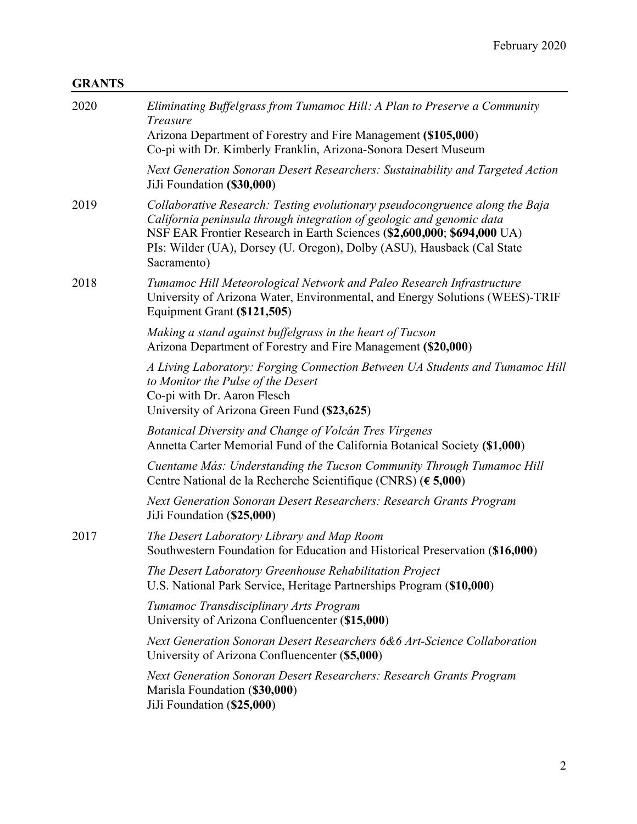# **GRANTS**

| 2020 | Eliminating Buffelgrass from Tumamoc Hill: A Plan to Preserve a Community<br><b>Treasure</b><br>Arizona Department of Forestry and Fire Management (\$105,000)<br>Co-pi with Dr. Kimberly Franklin, Arizona-Sonora Desert Museum                                                                                          |
|------|---------------------------------------------------------------------------------------------------------------------------------------------------------------------------------------------------------------------------------------------------------------------------------------------------------------------------|
|      | Next Generation Sonoran Desert Researchers: Sustainability and Targeted Action<br>JiJi Foundation (\$30,000)                                                                                                                                                                                                              |
| 2019 | Collaborative Research: Testing evolutionary pseudocongruence along the Baja<br>California peninsula through integration of geologic and genomic data<br>NSF EAR Frontier Research in Earth Sciences (\$2,600,000; \$694,000 UA)<br>PIs: Wilder (UA), Dorsey (U. Oregon), Dolby (ASU), Hausback (Cal State<br>Sacramento) |
| 2018 | Tumamoc Hill Meteorological Network and Paleo Research Infrastructure<br>University of Arizona Water, Environmental, and Energy Solutions (WEES)-TRIF<br>Equipment Grant (\$121,505)                                                                                                                                      |
|      | Making a stand against buffelgrass in the heart of Tucson<br>Arizona Department of Forestry and Fire Management (\$20,000)                                                                                                                                                                                                |
|      | A Living Laboratory: Forging Connection Between UA Students and Tumamoc Hill<br>to Monitor the Pulse of the Desert<br>Co-pi with Dr. Aaron Flesch<br>University of Arizona Green Fund (\$23,625)                                                                                                                          |
|      | Botanical Diversity and Change of Volcán Tres Virgenes<br>Annetta Carter Memorial Fund of the California Botanical Society (\$1,000)                                                                                                                                                                                      |
|      | Cuentame Más: Understanding the Tucson Community Through Tumamoc Hill<br>Centre National de la Recherche Scientifique (CNRS) ( $\epsilon$ 5,000)                                                                                                                                                                          |
|      | Next Generation Sonoran Desert Researchers: Research Grants Program<br>JiJi Foundation (\$25,000)                                                                                                                                                                                                                         |
| 2017 | The Desert Laboratory Library and Map Room<br>Southwestern Foundation for Education and Historical Preservation (\$16,000)                                                                                                                                                                                                |
|      | The Desert Laboratory Greenhouse Rehabilitation Project<br>U.S. National Park Service, Heritage Partnerships Program (\$10,000)                                                                                                                                                                                           |
|      | Tumamoc Transdisciplinary Arts Program<br>University of Arizona Confluencenter (\$15,000)                                                                                                                                                                                                                                 |
|      | Next Generation Sonoran Desert Researchers 6&6 Art-Science Collaboration<br>University of Arizona Confluencenter (\$5,000)                                                                                                                                                                                                |
|      | Next Generation Sonoran Desert Researchers: Research Grants Program<br>Marisla Foundation (\$30,000)<br>JiJi Foundation (\$25,000)                                                                                                                                                                                        |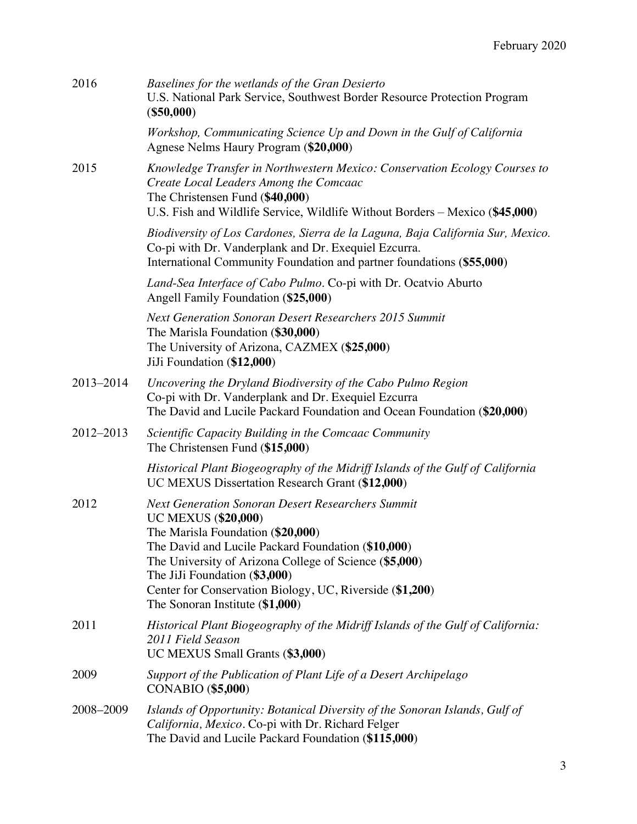| 2016      | Baselines for the wetlands of the Gran Desierto<br>U.S. National Park Service, Southwest Border Resource Protection Program<br>$($ \$50,000)                                                                                                                                                                                                                                |
|-----------|-----------------------------------------------------------------------------------------------------------------------------------------------------------------------------------------------------------------------------------------------------------------------------------------------------------------------------------------------------------------------------|
|           | Workshop, Communicating Science Up and Down in the Gulf of California<br>Agnese Nelms Haury Program (\$20,000)                                                                                                                                                                                                                                                              |
| 2015      | Knowledge Transfer in Northwestern Mexico: Conservation Ecology Courses to<br>Create Local Leaders Among the Comcaac<br>The Christensen Fund (\$40,000)<br>U.S. Fish and Wildlife Service, Wildlife Without Borders – Mexico (\$45,000)                                                                                                                                     |
|           | Biodiversity of Los Cardones, Sierra de la Laguna, Baja California Sur, Mexico.<br>Co-pi with Dr. Vanderplank and Dr. Exequiel Ezcurra.<br>International Community Foundation and partner foundations (\$55,000)                                                                                                                                                            |
|           | Land-Sea Interface of Cabo Pulmo. Co-pi with Dr. Ocatvio Aburto<br>Angell Family Foundation (\$25,000)                                                                                                                                                                                                                                                                      |
|           | <b>Next Generation Sonoran Desert Researchers 2015 Summit</b><br>The Marisla Foundation (\$30,000)<br>The University of Arizona, CAZMEX (\$25,000)<br>JiJi Foundation (\$12,000)                                                                                                                                                                                            |
| 2013-2014 | Uncovering the Dryland Biodiversity of the Cabo Pulmo Region<br>Co-pi with Dr. Vanderplank and Dr. Exequiel Ezcurra<br>The David and Lucile Packard Foundation and Ocean Foundation (\$20,000)                                                                                                                                                                              |
| 2012-2013 | Scientific Capacity Building in the Comcaac Community<br>The Christensen Fund (\$15,000)                                                                                                                                                                                                                                                                                    |
|           | Historical Plant Biogeography of the Midriff Islands of the Gulf of California<br>UC MEXUS Dissertation Research Grant (\$12,000)                                                                                                                                                                                                                                           |
| 2012      | <b>Next Generation Sonoran Desert Researchers Summit</b><br><b>UC MEXUS (\$20,000)</b><br>The Marisla Foundation (\$20,000)<br>The David and Lucile Packard Foundation (\$10,000)<br>The University of Arizona College of Science (\$5,000)<br>The JiJi Foundation (\$3,000)<br>Center for Conservation Biology, UC, Riverside (\$1,200)<br>The Sonoran Institute (\$1,000) |
| 2011      | Historical Plant Biogeography of the Midriff Islands of the Gulf of California:<br>2011 Field Season<br>UC MEXUS Small Grants (\$3,000)                                                                                                                                                                                                                                     |
| 2009      | Support of the Publication of Plant Life of a Desert Archipelago<br>CONABIO (\$5,000)                                                                                                                                                                                                                                                                                       |
| 2008-2009 | Islands of Opportunity: Botanical Diversity of the Sonoran Islands, Gulf of<br>California, Mexico. Co-pi with Dr. Richard Felger<br>The David and Lucile Packard Foundation (\$115,000)                                                                                                                                                                                     |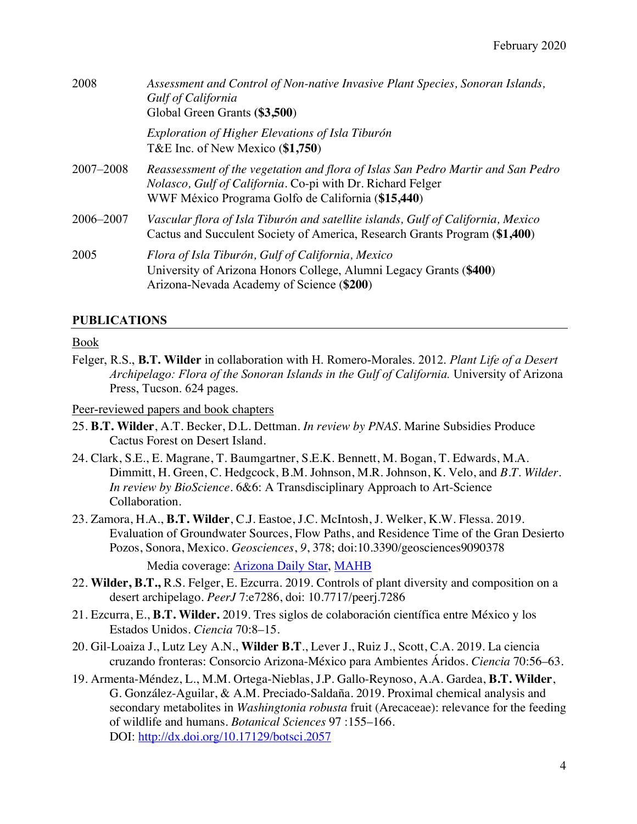| 2008      | Assessment and Control of Non-native Invasive Plant Species, Sonoran Islands,<br><b>Gulf of California</b><br>Global Green Grants (\$3,500)                                                          |
|-----------|------------------------------------------------------------------------------------------------------------------------------------------------------------------------------------------------------|
|           | Exploration of Higher Elevations of Isla Tiburón<br>T&E Inc. of New Mexico (\$1,750)                                                                                                                 |
| 2007-2008 | Reassessment of the vegetation and flora of Islas San Pedro Martir and San Pedro<br>Nolasco, Gulf of California. Co-pi with Dr. Richard Felger<br>WWF México Programa Golfo de California (\$15,440) |
| 2006–2007 | Vascular flora of Isla Tiburón and satellite islands, Gulf of California, Mexico<br>Cactus and Succulent Society of America, Research Grants Program (\$1,400)                                       |
| 2005      | Flora of Isla Tiburón, Gulf of California, Mexico<br>University of Arizona Honors College, Alumni Legacy Grants (\$400)<br>Arizona-Nevada Academy of Science (\$200)                                 |

# **PUBLICATIONS**

### Book

Felger, R.S., **B.T. Wilder** in collaboration with H. Romero-Morales. 2012. *Plant Life of a Desert Archipelago: Flora of the Sonoran Islands in the Gulf of California.* University of Arizona Press, Tucson. 624 pages.

#### Peer-reviewed papers and book chapters

- 25. **B.T. Wilder**, A.T. Becker, D.L. Dettman. *In review by PNAS*. Marine Subsidies Produce Cactus Forest on Desert Island.
- 24. Clark, S.E., E. Magrane, T. Baumgartner, S.E.K. Bennett, M. Bogan, T. Edwards, M.A. Dimmitt, H. Green, C. Hedgcock, B.M. Johnson, M.R. Johnson, K. Velo, and *B.T. Wilder*. *In review by BioScience.* 6&6: A Transdisciplinary Approach to Art-Science Collaboration.
- 23. Zamora, H.A., **B.T. Wilder**, C.J. Eastoe, J.C. McIntosh, J. Welker, K.W. Flessa. 2019. Evaluation of Groundwater Sources, Flow Paths, and Residence Time of the Gran Desierto Pozos, Sonora, Mexico. *Geosciences*, *9*, 378; doi:10.3390/geosciences9090378
	- Media coverage: **[Arizona Daily Star,](https://tucson.com/news/science/hidden-water-pozos-of-the-gran-desierto/article_f4908ee3-b678-516a-b4b7-d292c2cc03f8.html) [MAHB](https://mahb.stanford.edu/blog/stopping-for-pozos/)**
- 22. **Wilder, B.T.,** R.S. Felger, E. Ezcurra. 2019. Controls of plant diversity and composition on a desert archipelago. *PeerJ* 7:e7286, doi: 10.7717/peerj.7286
- 21. Ezcurra, E., **B.T. Wilder.** 2019. Tres siglos de colaboración científica entre México y los Estados Unidos. *Ciencia* 70:8–15.
- 20. Gil-Loaiza J., Lutz Ley A.N., **Wilder B.T**., Lever J., Ruiz J., Scott, C.A. 2019. La ciencia cruzando fronteras: Consorcio Arizona-México para Ambientes Áridos. *Ciencia* 70:56–63.
- 19. Armenta-Méndez, L., M.M. Ortega-Nieblas, J.P. Gallo-Reynoso, A.A. Gardea, **B.T. Wilder**, G. González-Aguilar, & A.M. Preciado-Saldaña. 2019. Proximal chemical analysis and secondary metabolites in *Washingtonia robusta* fruit (Arecaceae): relevance for the feeding of wildlife and humans. *Botanical Sciences* 97 :155–166. DOI: http://dx.doi.org/10.17129/botsci.2057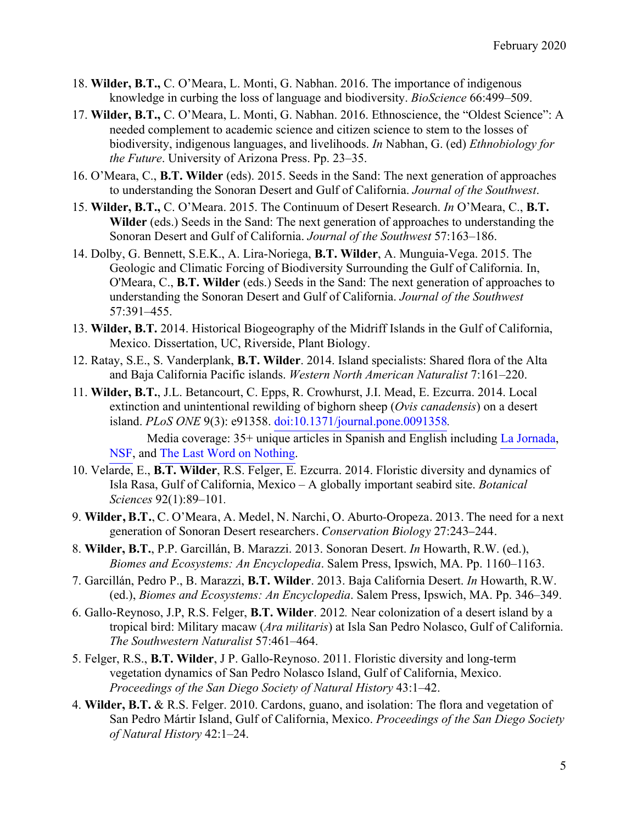- 18. **Wilder, B.T.,** C. O'Meara, L. Monti, G. Nabhan. 2016. The importance of indigenous knowledge in curbing the loss of language and biodiversity. *BioScience* 66:499–509.
- 17. **Wilder, B.T.,** C. O'Meara, L. Monti, G. Nabhan. 2016. Ethnoscience, the "Oldest Science": A needed complement to academic science and citizen science to stem to the losses of biodiversity, indigenous languages, and livelihoods. *In* Nabhan, G. (ed) *Ethnobiology for the Future*. University of Arizona Press. Pp. 23–35.
- 16. O'Meara, C., **B.T. Wilder** (eds). 2015. Seeds in the Sand: The next generation of approaches to understanding the Sonoran Desert and Gulf of California. *Journal of the Southwest*.
- 15. **Wilder, B.T.,** C. O'Meara. 2015. The Continuum of Desert Research. *In* O'Meara, C., **B.T. Wilder** (eds.) Seeds in the Sand: The next generation of approaches to understanding the Sonoran Desert and Gulf of California. *Journal of the Southwest* 57:163–186.
- 14. Dolby, G. Bennett, S.E.K., A. Lira-Noriega, **B.T. Wilder**, A. Munguia-Vega. 2015. The Geologic and Climatic Forcing of Biodiversity Surrounding the Gulf of California. In, O'Meara, C., **B.T. Wilder** (eds.) Seeds in the Sand: The next generation of approaches to understanding the Sonoran Desert and Gulf of California. *Journal of the Southwest* 57:391–455.
- 13. **Wilder, B.T.** 2014. Historical Biogeography of the Midriff Islands in the Gulf of California, Mexico. Dissertation, UC, Riverside, Plant Biology.
- 12. Ratay, S.E., S. Vanderplank, **B.T. Wilder**. 2014. Island specialists: Shared flora of the Alta and Baja California Pacific islands. *Western North American Naturalist* 7:161–220.
- 11. **Wilder, B.T.**, J.L. Betancourt, C. Epps, R. Crowhurst, J.I. Mead, E. Ezcurra. 2014. Local extinction and unintentional rewilding of bighorn sheep (*Ovis canadensis*) on a desert island. *PLoS ONE* 9(3): e91358. [doi:10.1371/journal.pone.0091358](https://journals.plos.org/plosone/article?id=10.1371/journal.pone.0091358)*.*

Media coverage: 35+ unique articles in Spanish and English including [La Jornada](https://www.jornada.com.mx/2014/03/21/ciencias/a02n1cie), [NSF,](https://www.nsf.gov/news/news_summ.jsp?cntn_id=130905&org=NSF&from=news) and [The Last Word on Nothing.](https://www.lastwordonnothing.com/2014/03/21/the-long-now-of-the-tiburon-bighorn/)

- 10. Velarde, E., **B.T. Wilder**, R.S. Felger, E. Ezcurra. 2014. Floristic diversity and dynamics of Isla Rasa, Gulf of California, Mexico – A globally important seabird site. *Botanical Sciences* 92(1):89–101*.*
- 9. **Wilder, B.T.**, C. O'Meara, A. Medel, N. Narchi, O. Aburto-Oropeza. 2013. The need for a next generation of Sonoran Desert researchers. *Conservation Biology* 27:243–244.
- 8. **Wilder, B.T.**, P.P. Garcillán, B. Marazzi. 2013. Sonoran Desert. *In* Howarth, R.W. (ed.), *Biomes and Ecosystems: An Encyclopedia*. Salem Press, Ipswich, MA. Pp. 1160–1163.
- 7. Garcillán, Pedro P., B. Marazzi, **B.T. Wilder**. 2013. Baja California Desert. *In* Howarth, R.W. (ed.), *Biomes and Ecosystems: An Encyclopedia*. Salem Press, Ipswich, MA. Pp. 346–349.
- 6. Gallo-Reynoso, J.P, R.S. Felger, **B.T. Wilder**. 2012*.* Near colonization of a desert island by a tropical bird: Military macaw (*Ara militaris*) at Isla San Pedro Nolasco, Gulf of California. *The Southwestern Naturalist* 57:461–464.
- 5. Felger, R.S., **B.T. Wilder**, J P. Gallo-Reynoso. 2011. Floristic diversity and long-term vegetation dynamics of San Pedro Nolasco Island, Gulf of California, Mexico. *Proceedings of the San Diego Society of Natural History* 43:1–42.
- 4. **Wilder, B.T.** & R.S. Felger. 2010. Cardons, guano, and isolation: The flora and vegetation of San Pedro Mártir Island, Gulf of California, Mexico. *Proceedings of the San Diego Society of Natural History* 42:1–24.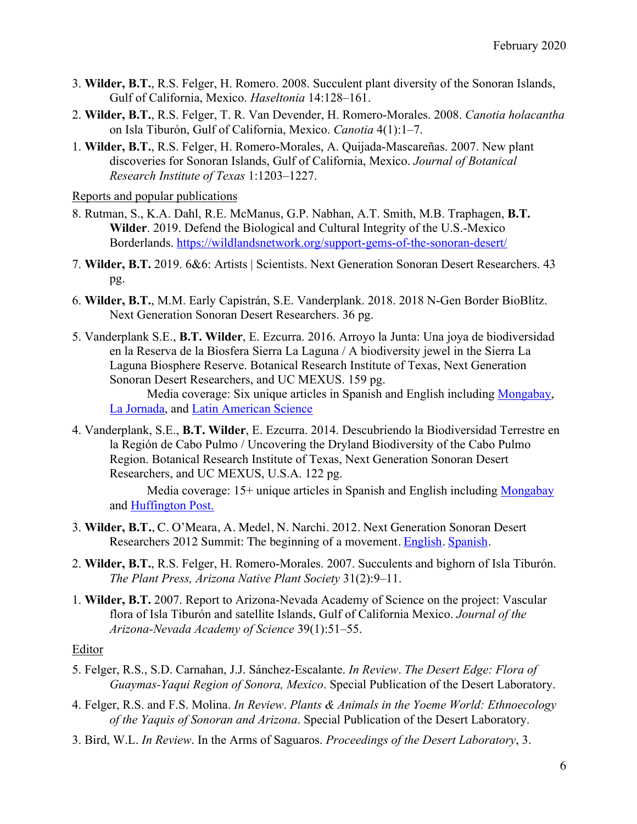- 3. **Wilder, B.T.**, R.S. Felger, H. Romero. 2008. Succulent plant diversity of the Sonoran Islands, Gulf of California, Mexico. *Haseltonia* 14:128–161.
- 2. **Wilder, B.T.**, R.S. Felger, T. R. Van Devender, H. Romero-Morales. 2008. *Canotia holacantha*  on Isla Tiburón, Gulf of California, Mexico. *Canotia* 4(1):1–7.
- 1. **Wilder, B.T.**, R.S. Felger, H. Romero-Morales, A. Quijada-Mascareñas. 2007. New plant discoveries for Sonoran Islands, Gulf of California, Mexico. *Journal of Botanical Research Institute of Texas* 1:1203–1227.

Reports and popular publications

- 8. Rutman, S., K.A. Dahl, R.E. McManus, G.P. Nabhan, A.T. Smith, M.B. Traphagen, **B.T. Wilder**. 2019. Defend the Biological and Cultural Integrity of the U.S.-Mexico Borderlands. https://wildlandsnetwork.org/support-gems-of-the-sonoran-desert/
- 7. **Wilder, B.T.** 2019. 6&6: Artists | Scientists. Next Generation Sonoran Desert Researchers. 43 pg.
- 6. **Wilder, B.T.**, M.M. Early Capistrán, S.E. Vanderplank. 2018. 2018 N-Gen Border BioBlitz. Next Generation Sonoran Desert Researchers. 36 pg.
- 5. Vanderplank S.E., **B.T. Wilder**, E. Ezcurra. 2016. Arroyo la Junta: Una joya de biodiversidad en la Reserva de la Biosfera Sierra La Laguna / A biodiversity jewel in the Sierra La Laguna Biosphere Reserve. Botanical Research Institute of Texas, Next Generation Sonoran Desert Researchers, and UC MEXUS. 159 pg. Media coverage: Six unique articles in Spanish and English including [Mongabay,](https://news.mongabay.com/2016/08/hundreds-of-unexpected-species-found-in-mexican-unesco-site-slated-for-gold-mine/) [La Jornada,](https://www.jornada.com.mx/2016/07/04/sociedad/035n1soc) and [Latin American Science](http://latinamericanscience.org/mexico-biodiversity-rio-sonora)
- 4. Vanderplank, S.E., **B.T. Wilder**, E. Ezcurra. 2014. Descubriendo la Biodiversidad Terrestre en la Región de Cabo Pulmo / Uncovering the Dryland Biodiversity of the Cabo Pulmo Region. Botanical Research Institute of Texas, Next Generation Sonoran Desert Researchers, and UC MEXUS, U.S.A. 122 pg.

Media coverage: 15+ unique articles in Spanish and English including [Mongabay](https://news.mongabay.com/2014/06/survey-finds-huge-biological-value-in-baja-california-stalls-resort-development/) and [Huffington Post.](https://www.huffpost.com/entry/joint-chinesemexican-mega_b_5414053)

- 3. **Wilder, B.T.**, C. O'Meara, A. Medel, N. Narchi. 2012. Next Generation Sonoran Desert Researchers 2012 Summit: The beginning of a movement. **English.** [Spanish.](https://nextgensd.com/wp-content/uploads/2017/08/NextGenSDR-Informe_Espa%C3%B1ol.pdf)
- 2. **Wilder, B.T.**, R.S. Felger, H. Romero-Morales. 2007. Succulents and bighorn of Isla Tiburón. *The Plant Press, Arizona Native Plant Society* 31(2):9–11.
- 1. **Wilder, B.T.** 2007. Report to Arizona-Nevada Academy of Science on the project: Vascular flora of Isla Tiburón and satellite Islands, Gulf of California Mexico. *Journal of the Arizona-Nevada Academy of Science* 39(1):51–55.

Editor

- 5. Felger, R.S., S.D. Carnahan, J.J. Sánchez-Escalante. *In Review*. *The Desert Edge: Flora of Guaymas-Yaqui Region of Sonora, Mexico*. Special Publication of the Desert Laboratory.
- 4. Felger, R.S. and F.S. Molina. *In Review*. *Plants & Animals in the Yoeme World: Ethnoecology of the Yaquis of Sonoran and Arizona*. Special Publication of the Desert Laboratory.
- 3. Bird, W.L. *In Review*. In the Arms of Saguaros. *Proceedings of the Desert Laboratory*, 3.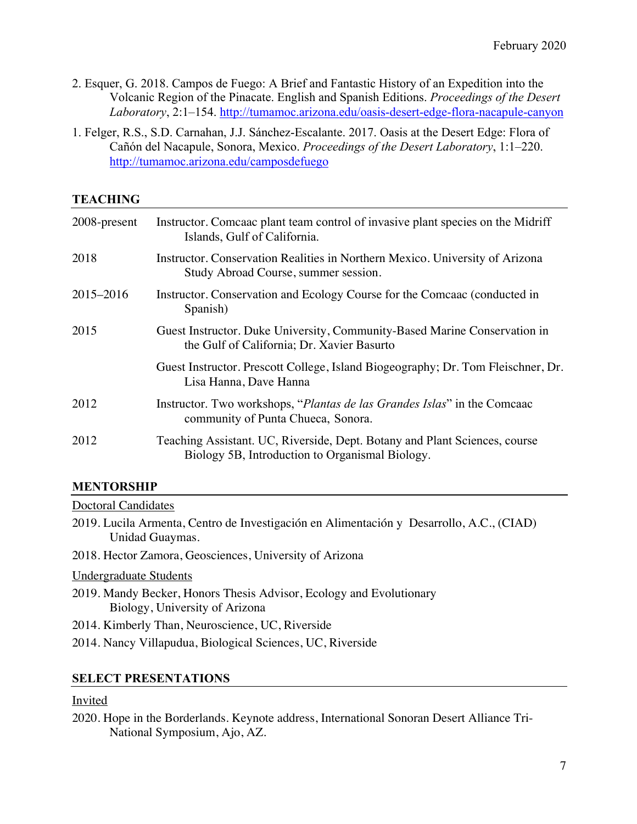- 2. Esquer, G. 2018. Campos de Fuego: A Brief and Fantastic History of an Expedition into the Volcanic Region of the Pinacate. English and Spanish Editions. *Proceedings of the Desert Laboratory*, 2:1–154. http://tumamoc.arizona.edu/oasis-desert-edge-flora-nacapule-canyon
- 1. Felger, R.S., S.D. Carnahan, J.J. Sánchez-Escalante. 2017. Oasis at the Desert Edge: Flora of Cañón del Nacapule, Sonora, Mexico. *Proceedings of the Desert Laboratory*, 1:1–220. http://tumamoc.arizona.edu/camposdefuego

# **TEACHING**

| 2008-present | Instructor. Comeaac plant team control of invasive plant species on the Midriff<br>Islands, Gulf of California.               |
|--------------|-------------------------------------------------------------------------------------------------------------------------------|
| 2018         | Instructor. Conservation Realities in Northern Mexico. University of Arizona<br>Study Abroad Course, summer session.          |
| 2015–2016    | Instructor. Conservation and Ecology Course for the Comcaac (conducted in<br>Spanish)                                         |
| 2015         | Guest Instructor. Duke University, Community-Based Marine Conservation in<br>the Gulf of California; Dr. Xavier Basurto       |
|              | Guest Instructor. Prescott College, Island Biogeography; Dr. Tom Fleischner, Dr.<br>Lisa Hanna, Dave Hanna                    |
| 2012         | Instructor. Two workshops, " <i>Plantas de las Grandes Islas</i> " in the Comcaac<br>community of Punta Chueca, Sonora.       |
| 2012         | Teaching Assistant. UC, Riverside, Dept. Botany and Plant Sciences, course<br>Biology 5B, Introduction to Organismal Biology. |

### **MENTORSHIP**

Doctoral Candidates

- 2019. Lucila Armenta, Centro de Investigación en Alimentación y Desarrollo, A.C., (CIAD) Unidad Guaymas.
- 2018. Hector Zamora, Geosciences, University of Arizona

Undergraduate Students

- 2019. Mandy Becker, Honors Thesis Advisor, Ecology and Evolutionary Biology, University of Arizona
- 2014. Kimberly Than, Neuroscience, UC, Riverside
- 2014. Nancy Villapudua, Biological Sciences, UC, Riverside

### **SELECT PRESENTATIONS**

#### Invited

2020. Hope in the Borderlands. Keynote address, International Sonoran Desert Alliance Tri-National Symposium, Ajo, AZ.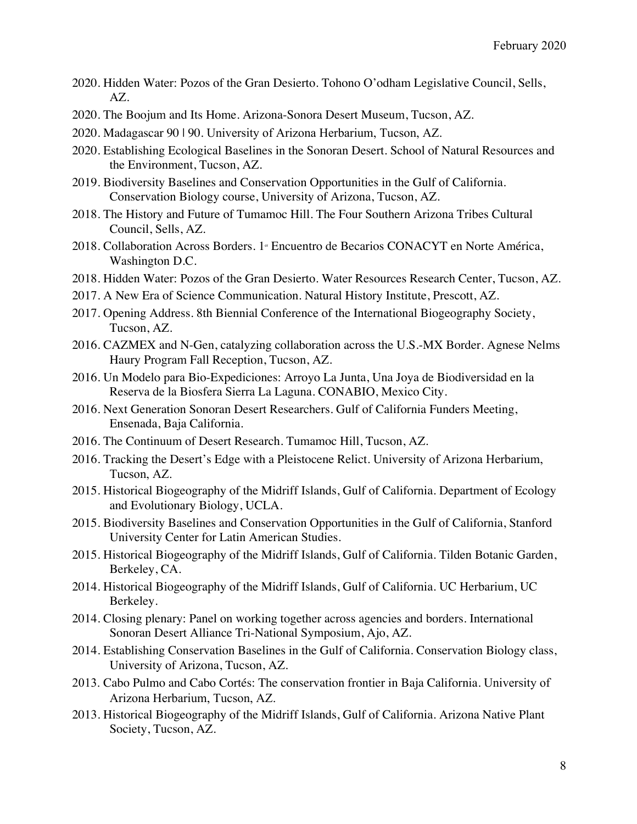- 2020. Hidden Water: Pozos of the Gran Desierto. Tohono O'odham Legislative Council, Sells, AZ.
- 2020. The Boojum and Its Home. Arizona-Sonora Desert Museum, Tucson, AZ.
- 2020. Madagascar 90 | 90. University of Arizona Herbarium, Tucson, AZ.
- 2020. Establishing Ecological Baselines in the Sonoran Desert. School of Natural Resources and the Environment, Tucson, AZ.
- 2019. Biodiversity Baselines and Conservation Opportunities in the Gulf of California. Conservation Biology course, University of Arizona, Tucson, AZ.
- 2018. The History and Future of Tumamoc Hill. The Four Southern Arizona Tribes Cultural Council, Sells, AZ.
- 2018. Collaboration Across Borders. 1<sup>e</sup> Encuentro de Becarios CONACYT en Norte América, Washington D.C.
- 2018. Hidden Water: Pozos of the Gran Desierto. Water Resources Research Center, Tucson, AZ.
- 2017. A New Era of Science Communication. Natural History Institute, Prescott, AZ.
- 2017. Opening Address. 8th Biennial Conference of the International Biogeography Society, Tucson, AZ.
- 2016. CAZMEX and N-Gen, catalyzing collaboration across the U.S.-MX Border. Agnese Nelms Haury Program Fall Reception, Tucson, AZ.
- 2016. Un Modelo para Bio-Expediciones: Arroyo La Junta, Una Joya de Biodiversidad en la Reserva de la Biosfera Sierra La Laguna. CONABIO, Mexico City.
- 2016. Next Generation Sonoran Desert Researchers. Gulf of California Funders Meeting, Ensenada, Baja California.
- 2016. The Continuum of Desert Research. Tumamoc Hill, Tucson, AZ.
- 2016. Tracking the Desert's Edge with a Pleistocene Relict. University of Arizona Herbarium, Tucson, AZ.
- 2015. Historical Biogeography of the Midriff Islands, Gulf of California. Department of Ecology and Evolutionary Biology, UCLA.
- 2015. Biodiversity Baselines and Conservation Opportunities in the Gulf of California, Stanford University Center for Latin American Studies.
- 2015. Historical Biogeography of the Midriff Islands, Gulf of California. Tilden Botanic Garden, Berkeley, CA.
- 2014. Historical Biogeography of the Midriff Islands, Gulf of California. UC Herbarium, UC Berkeley.
- 2014. Closing plenary: Panel on working together across agencies and borders. International Sonoran Desert Alliance Tri-National Symposium, Ajo, AZ.
- 2014. Establishing Conservation Baselines in the Gulf of California. Conservation Biology class, University of Arizona, Tucson, AZ.
- 2013. Cabo Pulmo and Cabo Cortés: The conservation frontier in Baja California. University of Arizona Herbarium, Tucson, AZ.
- 2013. Historical Biogeography of the Midriff Islands, Gulf of California. Arizona Native Plant Society, Tucson, AZ.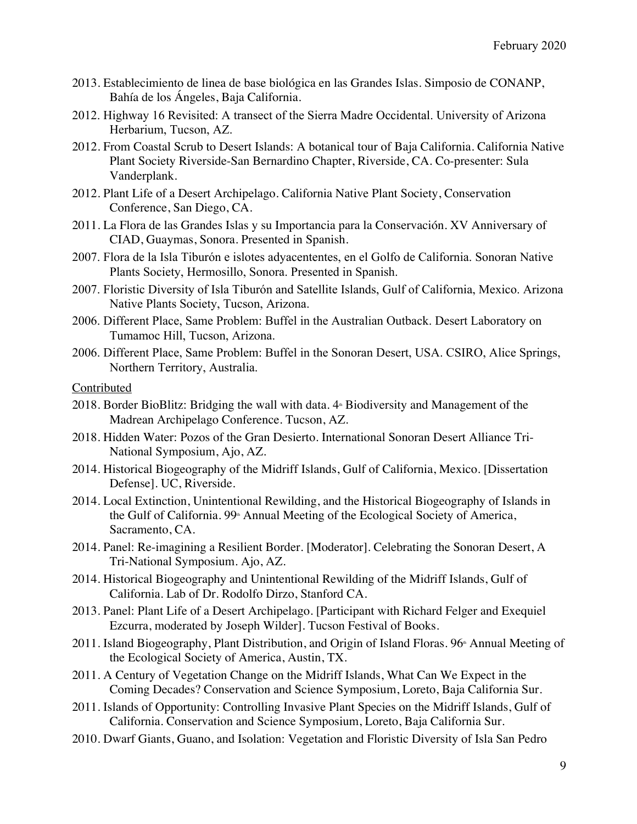- 2013. Establecimiento de linea de base biológica en las Grandes Islas. Simposio de CONANP, Bahía de los Ángeles, Baja California.
- 2012. Highway 16 Revisited: A transect of the Sierra Madre Occidental. University of Arizona Herbarium, Tucson, AZ.
- 2012. From Coastal Scrub to Desert Islands: A botanical tour of Baja California. California Native Plant Society Riverside-San Bernardino Chapter, Riverside, CA. Co-presenter: Sula Vanderplank.
- 2012. Plant Life of a Desert Archipelago. California Native Plant Society, Conservation Conference, San Diego, CA.
- 2011. La Flora de las Grandes Islas y su Importancia para la Conservación. XV Anniversary of CIAD, Guaymas, Sonora. Presented in Spanish.
- 2007. Flora de la Isla Tiburón e islotes adyacententes, en el Golfo de California. Sonoran Native Plants Society, Hermosillo, Sonora. Presented in Spanish.
- 2007. Floristic Diversity of Isla Tiburón and Satellite Islands, Gulf of California, Mexico. Arizona Native Plants Society, Tucson, Arizona.
- 2006. Different Place, Same Problem: Buffel in the Australian Outback. Desert Laboratory on Tumamoc Hill, Tucson, Arizona.
- 2006. Different Place, Same Problem: Buffel in the Sonoran Desert, USA. CSIRO, Alice Springs, Northern Territory, Australia.

#### Contributed

- 2018. Border BioBlitz: Bridging the wall with data.  $4$ <sup>th</sup> Biodiversity and Management of the Madrean Archipelago Conference. Tucson, AZ.
- 2018. Hidden Water: Pozos of the Gran Desierto. International Sonoran Desert Alliance Tri-National Symposium, Ajo, AZ.
- 2014. Historical Biogeography of the Midriff Islands, Gulf of California, Mexico. [Dissertation Defense]. UC, Riverside.
- 2014. Local Extinction, Unintentional Rewilding, and the Historical Biogeography of Islands in the Gulf of California. 99<sup>th</sup> Annual Meeting of the Ecological Society of America, Sacramento, CA.
- 2014. Panel: Re-imagining a Resilient Border. [Moderator]. Celebrating the Sonoran Desert, A Tri-National Symposium. Ajo, AZ.
- 2014. Historical Biogeography and Unintentional Rewilding of the Midriff Islands, Gulf of California. Lab of Dr. Rodolfo Dirzo, Stanford CA.
- 2013. Panel: Plant Life of a Desert Archipelago. [Participant with Richard Felger and Exequiel Ezcurra, moderated by Joseph Wilder]. Tucson Festival of Books.
- $2011$ . Island Biogeography, Plant Distribution, and Origin of Island Floras. 96 Annual Meeting of the Ecological Society of America, Austin, TX.
- 2011. A Century of Vegetation Change on the Midriff Islands, What Can We Expect in the Coming Decades? Conservation and Science Symposium, Loreto, Baja California Sur.
- 2011. Islands of Opportunity: Controlling Invasive Plant Species on the Midriff Islands, Gulf of California. Conservation and Science Symposium, Loreto, Baja California Sur.
- 2010. Dwarf Giants, Guano, and Isolation: Vegetation and Floristic Diversity of Isla San Pedro